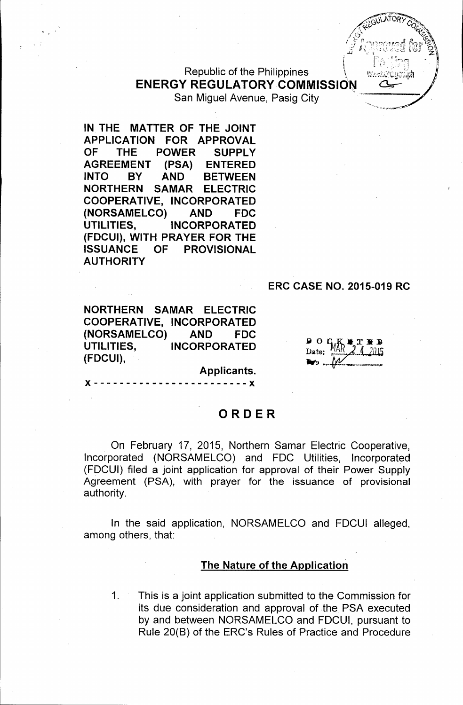Republic of the Philippines **ENERGY REGULATORY COMMISSION** San Miguel Avenue, Pasig City

IN THE MATTER OF THE JOINT APPLICATION FOR APPROVAL OF THE POWER SUPPLY AGREEMENT (PSA) ENTERED INTO BY AND BETWEEN NORTHERN SAMAR ELECTRIC COOPERATIVE, INCORPORATED (NORSAMELCO) AND FDC UTILITIES, INCORPORATED (FDCUI), WITH PRAYER FOR THE ISSUANCE OF PROVISIONAL AUTHORITY

### ERC CASE NO. 2015-019 RC

NORTHERN SAMAR ELECTRIC COOPERATIVE, INCORPORATED (NORSAMELCO) AND FDC UTILITIES, INCORPORATED (FDCUI),

 $90C$ Date:

Applicants.

 $- - - X$ 

#### ORDER

On February 17, 2015, Northern Samar Electric Cooperative, Incorporated (NORSAMELCO) and FOC Utilities, Incorporated (FOCUI) filed a joint application for approval of their Power Supply Agreement (PSA), with prayer for the issuance of provisional authority.

In the said application, NORSAMELCO and FOCUI alleged, among others, that:

#### The Nature of the Application

1. This is a joint application submitted to the Commission for its due consideration and approval of the PSA executed by and between NORSAMELCO and FOCUI, pursuant to Rule 20(8) of the ERC's Rules of Practice and Procedure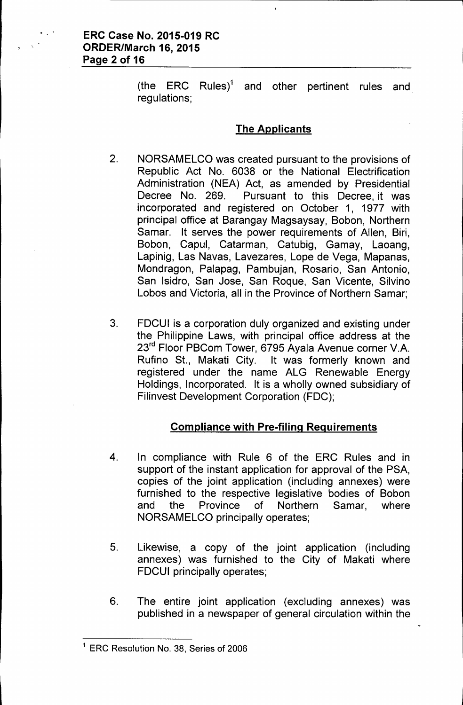(the ERC Rules)<sup>1</sup> and other pertinent rules and regulations;

### **The Applicants**

- 2. NORSAMELCO was created pursuant to the provisions of Republic Act No. 6038 or the National Electrification Administration (NEA) Act, as amended by Presidential Decree No. 269. Pursuant to this Decree, it was incorporated and registered on October 1, 1977 with principal office at Barangay Magsaysay, Sobon, Northern Samar. It serves the power requirements of Allen, Biri, Sobon, Capul, Catarman, Catubig, Gamay, Laoang, Lapinig, Las Navas, Lavezares, Lope de Vega, Mapanas, Mondragon, Palapag, Pambujan, Rosario, San Antonio, San Isidro, San Jose, San Roque, San Vicente, Silvino Lobos and Victoria, all in the Province of Northern Samar;
- 3. FDCUI is a corporation duly organized and existing under the Philippine Laws, with principal office address at the 23rd Floor PSCom Tower, 6795 Ayala Avenue corner V.A. Rufino St., Makati City. It was formerly known and registered under the name ALG Renewable Energy Holdings, Incorporated. It is a wholly owned subsidiary of Filinvest Development Corporation (FDC);

### **Compliance with Pre-filing Requirements**

- 4. In compliance with Rule 6 of the ERC Rules and in support of the instant application for approval of the PSA, copies of the joint application (including annexes) were furnished to the respective legislative bodies of Sobon and the Province of Northern Samar, where NORSAMELCO principally operates;
- 5. Likewise, a copy of the joint application (including annexes) was furnished to the City of Makati where FDCUI principally operates;
- 6. The entire joint application (excluding annexes) was published in a newspaper of general circulation within the

<sup>1</sup> ERG Resolution No. 38, Series of 2006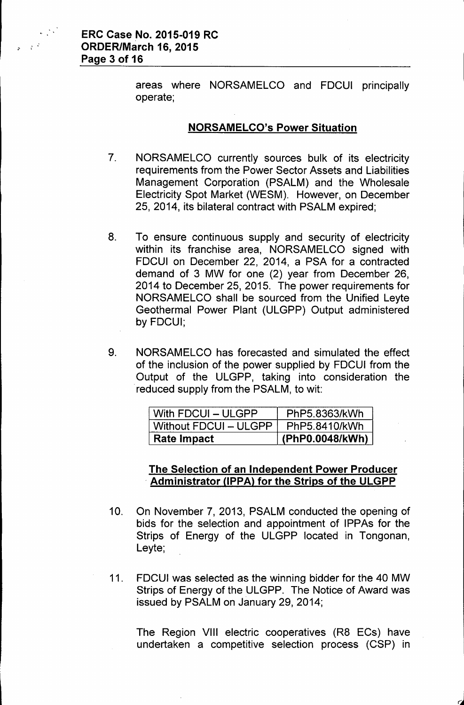

areas where NORSAMELCO and FDCUI principally operate;

#### **NORSAMELCO's Power Situation**

- 7. NORSAMELCO currently sources bulk of its electricity requirements from the Power Sector Assets and Liabilities Management Corporation (PSALM) and the Wholesale Electricity Spot Market (WESM). However, on December 25,2014, its bilateral contract with PSALM expired;
- 8. To ensure continuous supply and security of electricity within its franchise area, NORSAMELCO signed with FDCUI on December 22, 2014, a PSA for a contracted demand of 3 MW for one (2) year from December 26, 2014 to December 25, 2015. The power requirements for NORSAMELCO shall be sourced from the Unified Leyte Geothermal Power Plant (ULGPP) Output administered by FDCUI;
- 9. NORSAMELCO has forecasted and simulated the effect of the inclusion of the power supplied by FDCUI from the Output of the ULGPP, taking into consideration the reduced supply from the PSALM, to wit:

| With FDCUI - ULGPP    | PhP5.8363/kWh   |
|-----------------------|-----------------|
| Without FDCUI - ULGPP | PhP5.8410/kWh   |
| Rate Impact           | (PhP0.0048/kWh) |

### **The Selection of an Independent Power Producer . Administrator UPPAl for the Strips of the ULGPP**

- 10. On November 7,2013, PSALM conducted the opening of bids for the selection and appointment of IPPAs for the Strips of Energy of the ULGPP located in Tongonan, Leyte;
- 11. FDCUI was selected as the winning bidder for the 40 MW Strips of Energy of the ULGPP. The Notice of Award was issued by PSALM on January 29,2014;

The Region VIII electric cooperatives (R8 ECs) have undertaken a competitive selection process (CSP) in

J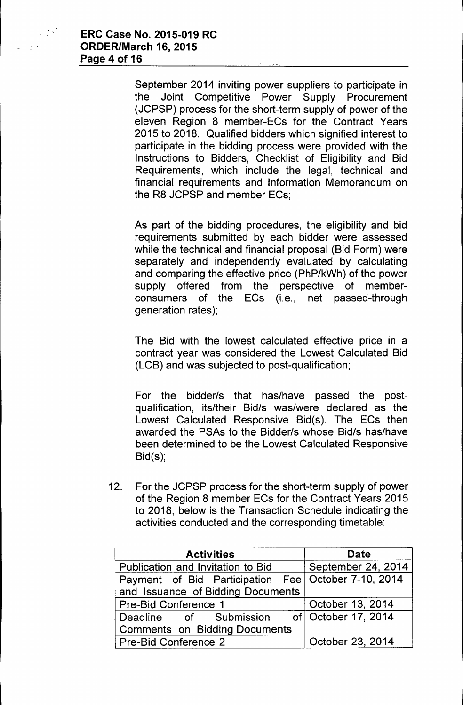September 2014 inviting power suppliers to participate in the Joint Competitive Power Supply Procurement (JCPSP) process for the short-term supply of power of the eleven Region 8 member-ECs for the Contract Years 2015 to 2018. Qualified bidders which signified interest to participate in the bidding process were provided with the Instructions to Bidders, Checklist of Eligibility and Bid Requirements, which include the legal, technical and financial requirements and Information Memorandum on the R8 JCPSP and member ECs;

As part of the bidding procedures, the eligibility and bid requirements submitted by each bidder were assessed while the technical and financial proposal (Bid Form) were separately and independentiy evaluated by calculating and comparing the effective price (PhP/kWh) of the power supply offered from the perspective of memberconsumers of the ECs (i.e., net passed-through generation rates);

The Bid with the lowest calculated effective price in a contract year was considered the Lowest Calculated Bid (LCB) and was subjected to post-qualification;

For the bidder/s that has/have passed the postqualification, its/their Bid/s was/were declared as the Lowest Calculated Responsive Bid(s). The ECs then awarded the PSAs to the Bidder/s whose Bid/s has/have been determined to be the Lowest Calculated Responsive Bid(s);

12. For the JCPSP process for the short-term supply of power of the Region 8 member ECs for the Contract Years 2015 to 2018, below is the Transaction Schedule indicating the activities conducted and the corresponding timetable:

| <b>Activities</b>                                                                          | <b>Date</b>        |
|--------------------------------------------------------------------------------------------|--------------------|
| Publication and Invitation to Bid                                                          | September 24, 2014 |
| Payment of Bid Participation Fee   October 7-10, 2014<br>and Issuance of Bidding Documents |                    |
| <b>Pre-Bid Conference 1</b>                                                                | October 13, 2014   |
| Deadline of Submission of October 17, 2014<br><b>Comments on Bidding Documents</b>         |                    |
| Pre-Bid Conference 2                                                                       | October 23, 2014   |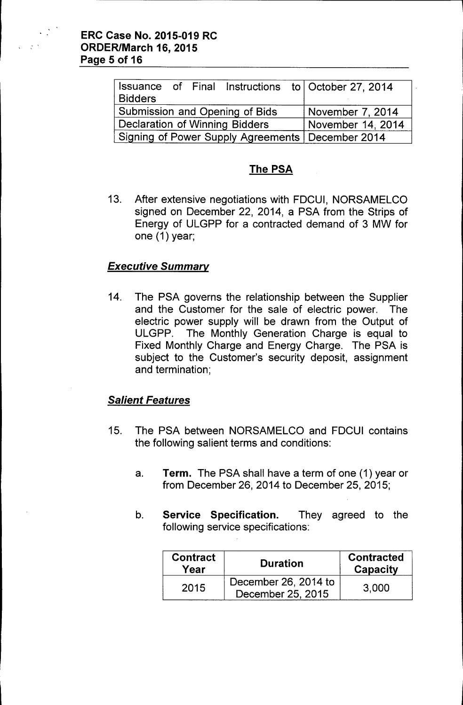| <b>Bidders</b>                                     |  |  |  |                  | Issuance of Final Instructions to October 27, 2014 |
|----------------------------------------------------|--|--|--|------------------|----------------------------------------------------|
| <b>Submission and Opening of Bids</b>              |  |  |  | November 7, 2014 |                                                    |
| Declaration of Winning Bidders                     |  |  |  |                  | November 14, 2014                                  |
| Signing of Power Supply Agreements   December 2014 |  |  |  |                  |                                                    |

## The PSA

13. After extensive negotiations with FDCUI, NORSAMELCO signed on December 22, 2014, a PSA from the Strips of Energy of ULGPP for a contracted demand of 3 MW for one (1) year;

## *Executive Summary*

14. The PSA governs the relationship between the Supplier and the Customer for the sale of electric power. The electric power supply will be drawn from the Output of ULGPP. The Monthly Generation Charge is equal to Fixed Monthly Charge and Energy Charge. The PSA is subject to the Customer's security deposit, assignment and termination;

## *Salient Features*

- 15. The PSA between NORSAMELCO and FDCUI contains the following salient terms and conditions:
	- a. Term. The PSA shall have a term of one (1) year or from December 26, 2014 to December 25, 2015;
	- b. Service Specification. They agreed to the following service specifications:

| <b>Contract</b><br>Year | <b>Duration</b>                           | <b>Contracted</b><br><b>Capacity</b> |
|-------------------------|-------------------------------------------|--------------------------------------|
| 2015                    | December 26, 2014 to<br>December 25, 2015 | 3,000                                |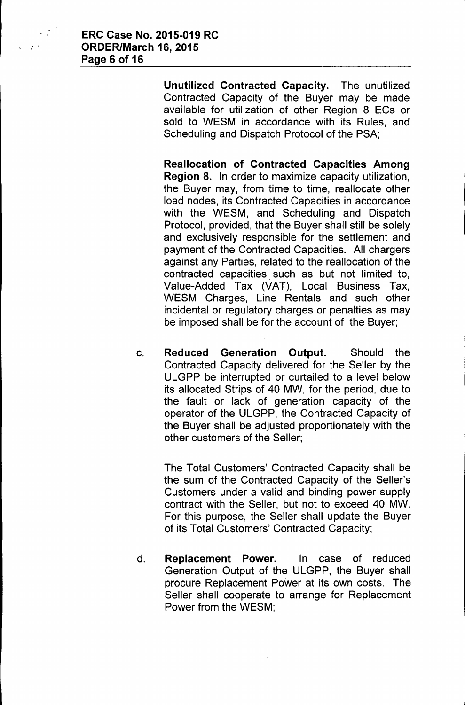Unutilized Contracted Capacity. The unutilized Contracted Capacity of the Buyer may be made available for utilization of other Region 8 ECs or sold to WESM in accordance with its Rules, and Scheduling and Dispatch Protocol of the PSA;

Reallocation of Contracted Capacities Among Region 8. In order to maximize capacity utilization, the Buyer may, from time to time, reallocate other load nodes, its Contracted Capacities in accordance with the WESM, and Scheduling and Dispatch Protocol, provided, that the Buyer shall still be solely and exclusively responsible for the settlement and payment of the Contracted Capacities. All chargers against any Parties, related to the reallocation of the contracted capacities. such as but not limited to, Value-Added Tax (VAT), Local Business Tax, WESM Charges, Line Rentals and such other incidental or regulatory charges or penalties as may be imposed shall be for the account of the Buyer;

c. Reduced Generation Output. Should the Contracted Capacity delivered for the Seller by the ULGPP be interrupted or curtailed to a level below its allocated Strips of 40 MW, for the period, due to the fault or lack of generation capacity of the operator of the ULGPP, the Contracted Capacity of the Buyer shall be adjusted proportionately with the other customers of the Seller;

The Total Customers' Contracted Capacity shall be the sum of the Contracted Capacity of the Seller's Customers under a valid and binding power supply contract with the Seller, but not to exceed 40 MW. For this purpose, the Seller shall update the Buyer of its Total Customers' Contracted Capacity;

d. Replacement Power. In case of reduced Generation Output of the ULGPP, the Buyer shall procure Replacement Power at its own costs. The Seller shall cooperate to arrange for Replacement Power from the WESM;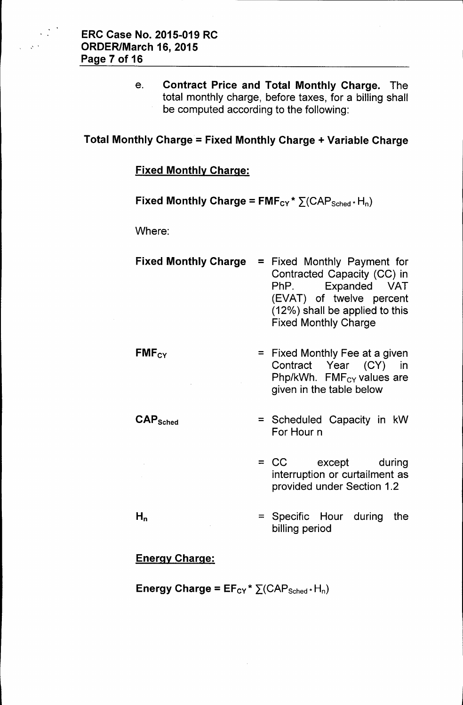e. Contract Price and Total Monthly Charge. The total monthly charge, before taxes, for a billing shall be computed according to the following:

# Total Monthly Charge = Fixed Monthly Charge + Variable Charge

#### Fixed Monthly Charge:

### Fixed Monthly Charge =  $FMF_{CY} * \sum (CAP_{Sched} * H_n)$

Where:

| <b>Fixed Monthly Charge</b>     | $=$ | Fixed Monthly Payment for<br>Contracted Capacity (CC) in<br>PhP. Expanded VAT<br>(EVAT) of twelve percent<br>(12%) shall be applied to this<br><b>Fixed Monthly Charge</b> |
|---------------------------------|-----|----------------------------------------------------------------------------------------------------------------------------------------------------------------------------|
| $FMF_{CY}$                      |     | $=$ Fixed Monthly Fee at a given<br>Contract Year (CY)<br>- in<br>Php/kWh. FMF <sub>CY</sub> values are<br>given in the table below                                        |
| $\mathsf{CAP}_{\mathsf{Sched}}$ |     | = Scheduled Capacity in kW<br>For Hour n                                                                                                                                   |
|                                 |     | = CC except during<br>interruption or curtailment as<br>provided under Section 1.2                                                                                         |

= Specific Hour during the billing period

#### Energy Charge:

 $H_n$ 

Energy Charge =  $EF_{CY}$  \*  $\sum (CAP_{Sched}$  + H<sub>n</sub>)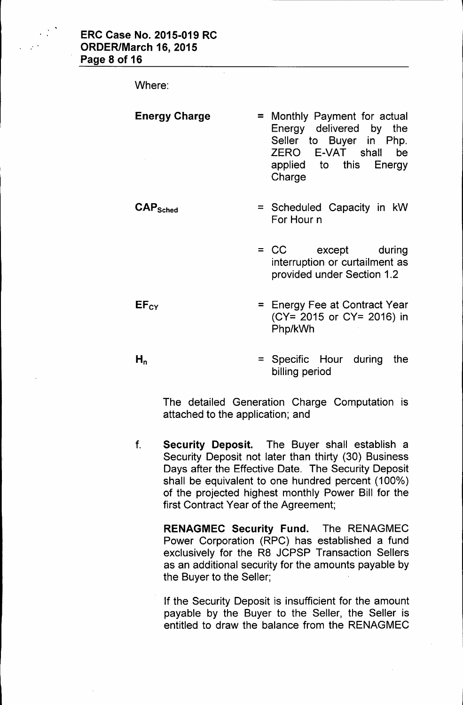

Where:

| <b>Energy Charge</b>            | $=$ | Monthly Payment for actual<br>Energy delivered by the<br>Seller to Buyer in Php.<br>ZERO E-VAT shall<br>be<br>applied to this Energy<br>Charge |
|---------------------------------|-----|------------------------------------------------------------------------------------------------------------------------------------------------|
| $\mathsf{CAP}_{\mathsf{Sched}}$ |     | = Scheduled Capacity in kW<br>For Hour n                                                                                                       |
|                                 |     | = CC except during<br>interruption or curtailment as<br>provided under Section 1.2                                                             |
| $EF_{CY}$                       |     | $=$ Energy Fee at Contract Year<br>(CY= 2015 or CY= 2016) in<br>Php/kWh                                                                        |

 $H_n$ = Specific Hour during the billing period

The detailed Generation Charge Computation is attached to the application; and

f. Security Deposit. The Buyer shall establish a Security Deposit not later than thirty (30) Business Days after the Effective Date. The Security Deposit shall be equivalent to one hundred percent (100% ) of the projected highest monthly Power Bill for the first Contract Year of the Agreement;

RENAGMEC Security Fund. The RENAGMEC Power Corporation (RPC) has established a fund exclusively for the R8 JCPSP Transaction Sellers as an additional security for the amounts payable by the Buyer to the Seller;

If the Security Deposit is insufficient for the amount payable by the Buyer to the Seller, the Seller is entitled to draw the balance from the RENAGMEC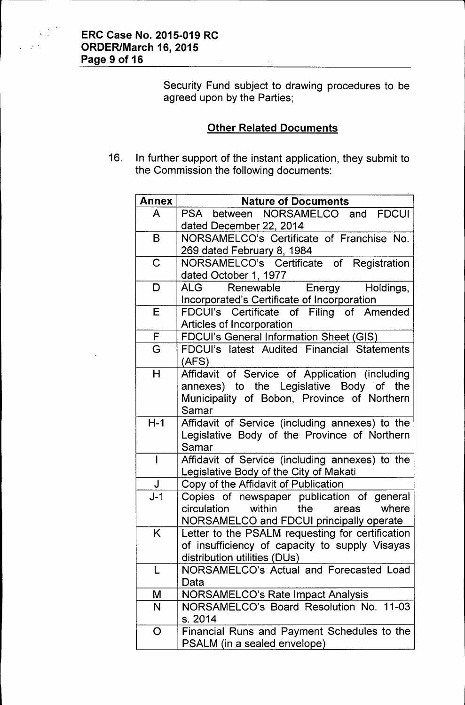Security Fund subject to drawing procedures to be agreed upon by the Parties;

### Other Related Documents

16. In further support of the instant application, they submit to the Commission the following documents:

| <b>Annex</b> | <b>Nature of Documents</b>                                                          |
|--------------|-------------------------------------------------------------------------------------|
| A            | PSA between NORSAMELCO and<br><b>FDCUI</b>                                          |
|              | dated December 22, 2014                                                             |
| B            | NORSAMELCO's Certificate of Franchise No.                                           |
|              | 269 dated February 8, 1984                                                          |
| $\mathbf C$  | NORSAMELCO's Certificate of Registration                                            |
|              | dated October 1, 1977                                                               |
| D            | Holdings,<br>ALG<br>Renewable Energy                                                |
|              | Incorporated's Certificate of Incorporation                                         |
| E            | FDCUI's Certificate of Filing of Amended                                            |
|              | Articles of Incorporation                                                           |
| F            | <b>FDCUI's General Information Sheet (GIS)</b>                                      |
| G            | FDCUI's latest Audited Financial Statements                                         |
|              | (AFS)                                                                               |
| H            | Affidavit of Service of Application (including                                      |
|              | annexes) to the Legislative Body of the                                             |
|              | Municipality of Bobon, Province of Northern                                         |
|              | Samar                                                                               |
| $H-1$        | Affidavit of Service (including annexes) to the                                     |
|              | Legislative Body of the Province of Northern                                        |
|              | Samar                                                                               |
| $\mathbf{I}$ | Affidavit of Service (including annexes) to the                                     |
|              | Legislative Body of the City of Makati                                              |
| J            | Copy of the Affidavit of Publication                                                |
| $J-1$        | Copies of newspaper publication of general                                          |
|              | within the<br>where<br>circulation<br>areas                                         |
|              | NORSAMELCO and FDCUI principally operate                                            |
| K.           | Letter to the PSALM requesting for certification                                    |
|              | of insufficiency of capacity to supply Visayas                                      |
| L            | distribution utilities (DUs)<br>NORSAMELCO's Actual and Forecasted Load             |
|              | Data                                                                                |
|              |                                                                                     |
| M<br>N       | <b>NORSAMELCO's Rate Impact Analysis</b><br>NORSAMELCO's Board Resolution No. 11-03 |
|              | s. 2014                                                                             |
| O            | Financial Runs and Payment Schedules to the                                         |
|              | PSALM (in a sealed envelope)                                                        |
|              |                                                                                     |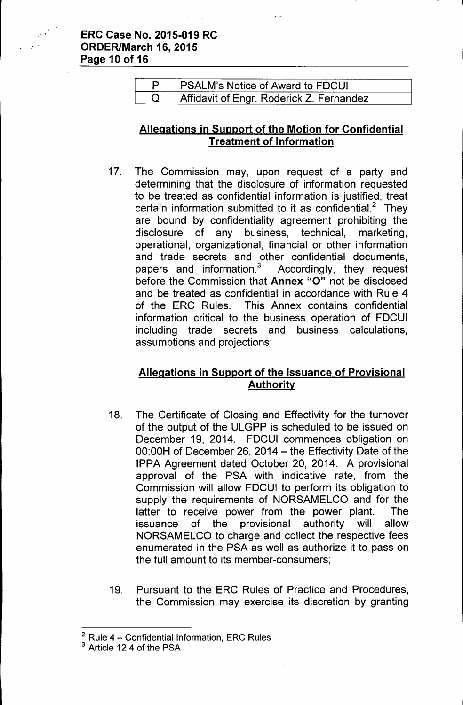#### **ERC Case No. 2015-019 RC " ORDER/March 16,2015 Page 10 of 16**

| (PSALM's Notice of Award to FDCUI        |  |
|------------------------------------------|--|
| Affidavit of Engr. Roderick Z. Fernandez |  |

### **Allegations in Support of the Motion for Confidential Treatment of Information**

17. The Commission may, upon request of a party and determining that the disclosure of information requested to be treated as confidential information is justified, treat certain information submitted to it as confidential.<sup>2</sup> They are bound by confidentiality agreement prohibiting the disclosure of any business, technical, marketing, operational, organizational, financial or other information and trade secrets and other confidential documents, papers and information.<sup>3</sup> Accordingly, they request before the Commission that **Annex** "0" not be disclosed and be treated as confidential in accordance with Rule 4 of the ERC Rules. This Annex contains confidential information critical to the business operation of FDCUI including trade secrets and business calculations, assumptions and projections;

### **Allegations in Support of the Issuance of Provisional Authority**

- 18. The Certificate of Closing and Effectivity for the turnover of the output of the ULGPP is scheduled to be issued on December 19, 2014. FDCUI commences obligation on 00:00H of December 26, 2014 - the Effectivity Date of the IPPA Agreement dated October 20, 2014. A provisional approval of the PSA with indicative rate, from the Commission will allow FDCUI to perform its obligation to supply the requirements of NORSAMELCO and for the latter to receive power from the power plant. The issuance of the provisional authority will allow NORSAMELCO to charge and collect the respective fees enumerated in the PSA as well as authorize it to pass on the full amount to its member-consumers;
- 19. Pursuant to the ERC Rules of Practice and Procedures, the Commission may exercise its discretion by granting

 $2$  Rule 4 – Confidential Information, ERC Rules

<sup>3</sup> Article 12.4 of the PSA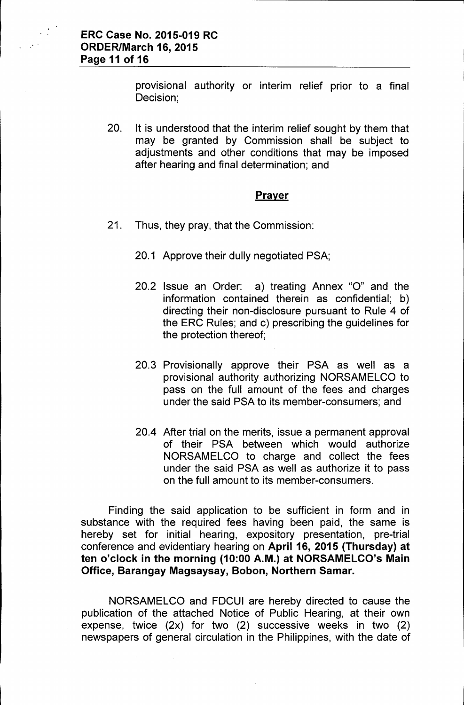provisional authority or interim relief prior to a final Decision;

20. It is understood that the interim relief sought by them that may be granted by Commission shall be subject to adjustments and other conditions that may be imposed after hearing and final determination; and

#### Prayer

- 21. Thus, they pray, that the Commission:
	- 20.1 Approve their dully negotiated PSA;
	- 20.2 Issue an Order: a) treating Annex "0" and the information contained therein as confidential; b) directing their non-disclosure pursuant to Rule 4 of the ERC Rules; and c) prescribing the guidelines for the protection thereof;
	- 20.3 Provisionally approve their PSA as well as a provisional authority authorizing NORSAMELCO to pass on the full amount of the fees and charges under the said PSA to its member-consumers; and
	- 20.4 After trial on the merits, issue a permanent approval of their PSA between which would authorize NORSAMELCO to charge and collect the fees under the said PSA as well as authorize it to pass on the full amount to its member-consumers.

Finding the said application to be sufficient in form and in substance with the required fees having been paid, the same is hereby set for initial hearing, expository presentation, pre-trial conference and evidentiary hearing on April 16, 2015 (Thursday) at ten o'clock in the morning (10:00 A.M.) at NORSAMELCO's Main Office, Barangay Magsaysay, Bobon, Northern Samar.

NORSAMELCO and FDCUI are hereby directed to cause the publication of the attached Notice of Public Hearing, at their own expense, twice (2x) for two (2) successive weeks in two (2) newspapers of general circulation in the Philippines, with the date of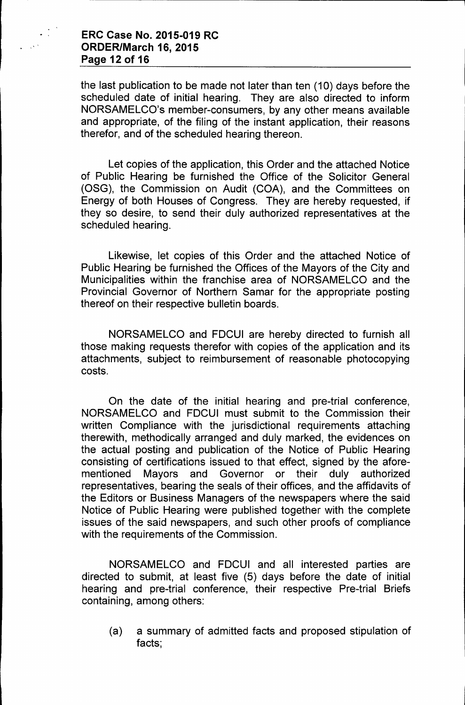#### **ERC Case No. 2015-019 RC ORDER/March 16, 2015 Page 12 of 16**

the last publication to be made not later than ten (10) days before the scheduled date of initial hearing. They are also directed to inform NORSAMELCO's member-consumers, by any other means available and appropriate, of the filing of the instant application, their reasons therefor, and of the scheduled hearing thereon.

Let copies of the application, this Order and the attached Notice of Public Hearing be furnished the Office of the Solicitor General (OSG), the Commission on Audit (COA), and the Committees on Energy of both Houses of Congress. They are hereby requested, if they so desire, to send their duly authorized representatives at the scheduled hearing.

Likewise, let copies of this Order and the attached Notice of Public Hearing be furnished the Offices of the Mayors of the City and Municipalities within the franchise area of NORSAMELCO and the Provincial Governor of Northern Samar for the appropriate posting thereof on their respective bulletin boards.

NORSAMELCO and FDCUI are hereby directed to furnish all those making requests therefor with copies of the application and its attachments, subject to reimbursement of reasonable photocopying costs.

On the date of the initial hearing and pre-trial conference, NORSAMELCO and FDCUI must submit to the Commission their written Compliance with the jurisdictional requirements attaching therewith, methodically arranged and duly marked, the evidences on the actual posting and publication of the Notice of Public Hearing consisting of certifications issued to that effect, signed by the aforementioned Mayors and Governor or their duly authorized representatives, bearing the seals of their offices, and the affidavits of the Editors or Business Managers of the newspapers where the said Notice of Public Hearing were published together with the complete issues of the said newspapers, and such other proofs of compliance with the requirements of the Commission.

NORSAMELCO and FDCUI and all interested parties are directed to submit, at least five (5) days before the date of initial hearing and pre-trial conference, their respective Pre-trial Briefs containing, among others:

(a) a summary of admitted facts and proposed stipulation of facts;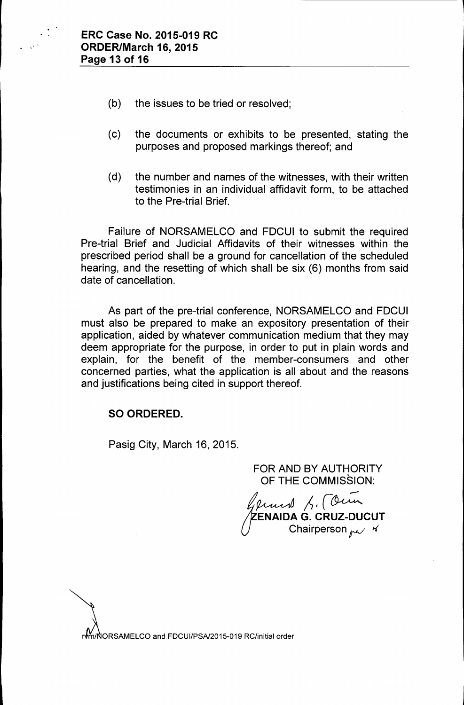

- (b) the issues to be tried or resolved;
- (c) the documents or exhibits to be presented, stating the purposes and proposed markings thereof; and
- (d) the number and names of the witnesses, with their written testimonies in an individual affidavit form, to be attached to the Pre-trial Brief.

Failure of NORSAMELCO and FDCUI to submit the required Pre-trial Brief and Judicial Affidavits of their witnesses within the prescribed period shall be a ground for cancellation of the scheduled hearing, and the resetting of which shall be six (6) months from said date of cancellation.

As part of the pre-trial conference, NORSAMELCO and FDCUI must also be prepared to make an expository presentation of their application, aided by whatever communication medium that they may deem appropriate for the purpose, in order to put in plain words and explain, for the benefit of the member-consumers and other concerned parties, what the application is all about and the reasons and justifications being cited in support thereof.

### SO ORDERED.

Pasig City, March 16, 2015.

### FOR AND BY AUTHORITY OF THE COMMISSION:

*It ...-* ~~/r~ y*eeddwr* yn Central<br>ZENAIDA G. CRUZ-DUCUT Chairperson *per*  $\frac{1}{4}$ 

n/NORSAMELCO and FDCUI/PSA/2015-019 RC/initial order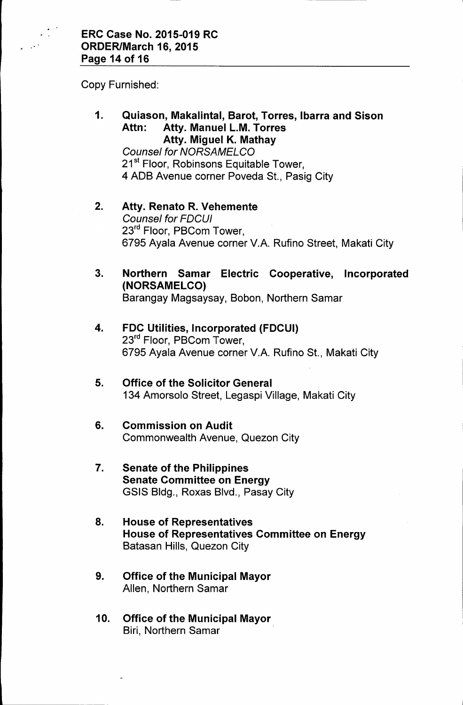Copy Furnished:

1. Quiason, Makalintal, Barot, Torres, Ibarra and Sison Attn: Atty. Manuel L.M. Torres Atty. Miguel K. Mathay

*Counsel for NORSAMELCO* 21<sup>st</sup> Floor, Robinsons Equitable Tower, 4 ADB Avenue corner Poveda St., Pasig City

- 2. Atty. Renato R. Vehemente *Counsel for FDCUI* 23<sup>rd</sup> Floor, PBCom Tower, 6795 Ayala Avenue corner V.A. Rufino Street, Makati City
- 3. Northern Samar Electric Cooperative, Incorporated (NORSAMELCO) Barangay Magsaysay, Bobon, Northern Samar
- 4. FDC Utilities, Incorporated (FDCUI) 23<sup>rd</sup> Floor, PBCom Tower, 6795 Ayala Avenue corner V.A. Rufino St., Makati City
- 5. Office of the Solicitor General 134 Amorsolo Street, Legaspi Village, Makati City
- 6. Commission on Audit Commonwealth Avenue, Quezon City
- 7. Senate of the Philippines Senate Committee on Energy GSIS Bldg., Roxas Blvd., Pasay City
- 8. House of Representatives House of Representatives Committee on Energy Batasan Hills, Quezon City
- 9. Office of the Municipal Mayor Allen, Northern Samar
- 10. Office of the Municipal Mayor Biri, Northern Samar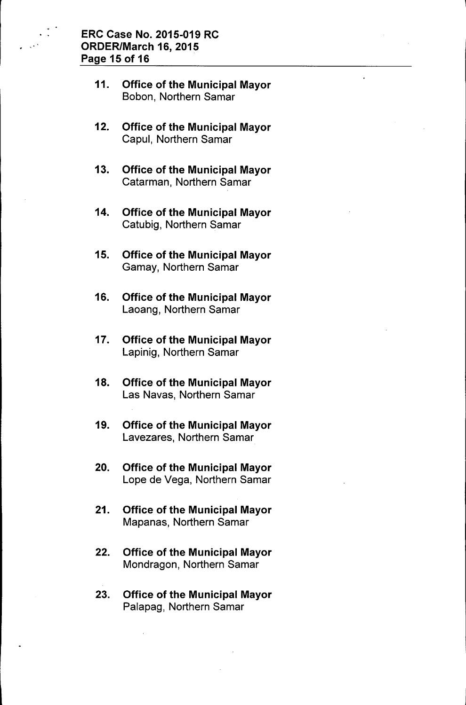- 11. Office of the Municipal Mayor Sobon, Northern Samar
- 12. Office of the Municipal Mayor Capul, Northern Samar
- 13. Office of the Municipal Mayor Catarman, Northern Samar
- 14. Office of the Municipal Mayor Catubig, Northern Samar
- 15. Office of the Municipal Mayor Gamay, Northern Samar
- 16. Office of the Municipal Mayor Laoang, Northern Samar
- 17. Office of the Municipal Mayor Lapinig, Northern Samar
- 18. Office of the Municipal Mayor Las Navas, Northern Samar
- 19. Office of the Municipal Mayor Lavezares, Northern Samar
- 20. Office of the Municipal Mayor Lope de Vega, Northern Samar
- 21. Office of the Municipal Mayor Mapanas, Northern Samar
- 22. Office of the Municipal Mayor Mondragon, Northern Samar
- 23. Office of the Municipal Mayor Palapag, Northern Samar